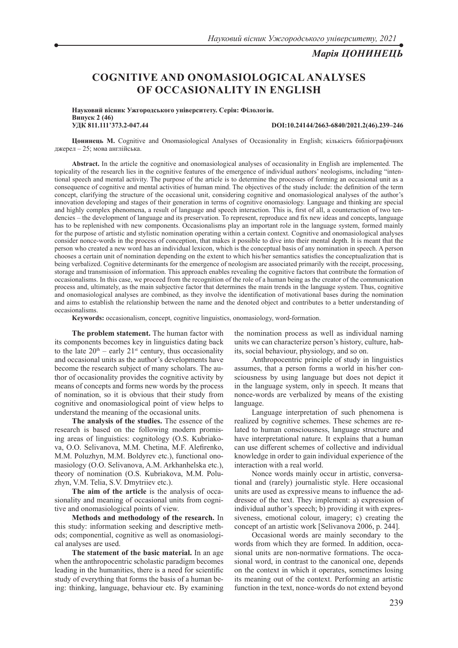## *Марія ЦОНИНЕЦЬ*

# **COGNITIVE AND ONOMASIOLOGICAL ANALYSES OF OCCASIONALITY IN ENGLISH**

**Науковий вісник Ужгородського університету. Серія: Філологія. Випуск 2 (46)**

**УДК 811.111'373.2-047.44 DOI:10.24144/2663-6840/2021.2(46).239–246**

**Цонинець М.** Cognitive and Onomasiological Analyses of Occasionality in English; кількість бібліографічних джерел – 25; мова англійська.

**Abstract.** In the article the cognitive and onomasiological analyses of occasionality in English are implemented. The topicality of the research lies in the cognitive features of the emergence of individual authors' neologisms, including "intentional speech and mental activity. The purpose of the article is to determine the processes of forming an occasional unit as a consequence of cognitive and mental activities of human mind. The objectives of the study include: the definition of the term concept, clarifying the structure of the occasional unit, considering cognitive and onomasiological analyses of the author's innovation developing and stages of their generation in terms of cognitive onomasiology. Language and thinking are special and highly complex phenomena, a result of language and speech interaction. This is, first of all, a counteraction of two tendencies – the development of language and its preservation. To represent, reproduce and fix new ideas and concepts, language has to be replenished with new components. Occasionalisms play an important role in the language system, formed mainly for the purpose of artistic and stylistic nomination operating within a certain context. Cognitive and onomasiological analyses consider nonce-words in the process of conception, that makes it possible to dive into their mental depth. It is meant that the person who created a new word has an individual lexicon, which is the conceptual basis of any nomination in speech. A person chooses a certain unit of nomination depending on the extent to which his/her semantics satisfies the conceptualization that is being verbalized. Cognitive determinants for the emergence of neologism are associated primarily with the receipt, processing, storage and transmission of information. This approach enables revealing the cognitive factors that contribute the formation of occasionalisms. In this case, we proceed from the recognition of the role of a human being as the creator of the communication process and, ultimately, as the main subjective factor that determines the main trends in the language system. Thus, cognitive and onomasiological analyses are combined, as they involve the identification of motivational bases during the nomination and aims to establish the relationship between the name and the denoted object and contributes to a better understanding of occasionalisms.

**Keywords:** occasionalism, concept, cognitive linguistics, onomasiology, word-formation.

**The problem statement.** The human factor with its components becomes key in linguistics dating back to the late  $20<sup>th</sup>$  – early  $21<sup>st</sup>$  century, thus occasionality and occasional units as the author's developments have become the research subject of many scholars. The author of occasionality provides the cognitive activity by means of concepts and forms new words by the process of nomination, so it is obvious that their study from cognitive and onomasiological point of view helps to understand the meaning of the occasional units.

**The analysis of the studies.** The essence of the research is based on the following modern promising areas of linguistics: cognitology (O.S. Kubriakova, O.O. Selivanova, M.M. Chetina, M.F. Alefirenko, M.M. Poluzhyn, M.M. Boldyrev etc.), functional onomasiology (O.O. Selivanova, A.M. Arkhanhelska etc.), theory of nomination (O.S. Kubriakova, M.M. Poluzhyn, V.M. Telia, S.V. Dmytriiev etc.).

**The aim of the article** is the analysis of occasionality and meaning of occasional units from cognitive and onomasiological points of view.

**Methods and methodology of the research.** In this study: information seeking and descriptive methods; componential, cognitive as well as onomasiological analyses are used.

**The statement of the basic material.** In an age when the anthropocentric scholastic paradigm becomes leading in the humanities, there is a need for scientific study of everything that forms the basis of a human being: thinking, language, behaviour etc. By examining

the nomination process as well as individual naming units we can characterize person's history, culture, habits, social behaviour, physiology, and so on.

Anthropocentric principle of study in linguistics assumes, that a person forms a world in his/her consciousness by using language but does not depict it in the language system, only in speech. It means that nonce-words are verbalized by means of the existing language.

Language interpretation of such phenomena is realized by cognitive schemes. These schemes are related to human consciousness, language structure and have interpretational nature. It explains that a human can use different schemes of collective and individual knowledge in order to gain individual experience of the interaction with a real world.

Nonce words mainly occur in artistic, conversational and (rarely) journalistic style. Here occasional units are used as expressive means to influence the addressee of the text. They implement: a) expression of individual author's speech; b) providing it with expressiveness, emotional colour, imagery; c) creating the concept of an artistic work [Selivanova 2006, p. 244].

Occasional words are mainly secondary to the words from which they are formed. In addition, occasional units are non-normative formations. The occasional word, in contrast to the canonical one, depends on the context in which it operates, sometimes losing its meaning out of the context. Performing an artistic function in the text, nonce-words do not extend beyond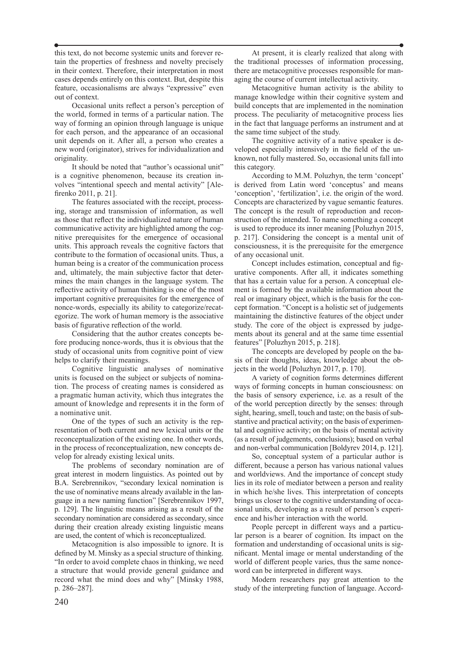this text, do not become systemic units and forever retain the properties of freshness and novelty precisely in their context. Therefore, their interpretation in most cases depends entirely on this context. But, despite this feature, occasionalisms are always "expressive" even out of context.

Occasional units reflect a person's perception of the world, formed in terms of a particular nation. The way of forming an opinion through language is unique for each person, and the appearance of an occasional unit depends on it. After all, a person who creates a new word (originator), strives for individualization and originality.

It should be noted that "author's ocassional unit" is a cognitive phenomenon, because its creation involves "intentional speech and mental activity" [Alefirenko 2011, p. 21].

The features associated with the receipt, processing, storage and transmission of information, as well as those that reflect the individualized nature of human communicative activity are highlighted among the cognitive prerequisites for the emergence of occasional units. This approach reveals the cognitive factors that contribute to the formation of occasional units. Thus, a human being is a creator of the communication process and, ultimately, the main subjective factor that determines the main changes in the language system. The reflective activity of human thinking is one of the most important cognitive prerequisites for the emergence of nonсe-words, especially its ability to categorize/recategorize. The work of human memory is the associative basis of figurative reflection of the world.

Considering that the author creates concepts before producing nonce-words, thus it is obvious that the study of occasional units from cognitive point of view helps to clarify their meanings.

Сognitive linguistic analyses of nominative units is focused on the subject or subjects of nomination. The process of creating names is considered as a pragmatic human activity, which thus integrates the amount of knowledge and represents it in the form of a nominative unit.

One of the types of such an activity is the representation of both current and new lexical units or the reconceptualization of the existing one. In other words, in the process of reconceptualization, new concepts develop for already existing lexical units.

The problems of secondary nomination are of great interest in modern linguistics. As pointed out by B.A. Serebrennikov, "secondary lexical nomination is the use of nominative means already available in the language in a new naming function" [Serebrennikov 1997, p. 129]. The linguistic means arising as a result of the secondary nomination are considered as secondary, since during their creation already existing linguistic means are used, the content of which is reconceptualized.

Metacognition is also impossible to ignore. It is defined by M. Minsky as a special structure of thinking. "In order to avoid complete chaos in thinking, we need a structure that would provide general guidance and record what the mind does and why" [Minsky 1988, p. 286–287].

At present, it is clearly realized that along with the traditional processes of information processing, there are metacognitive processes responsible for managing the course of current intellectual activity.

Metacognitive human activity is the ability to manage knowledge within their cognitive system and build concepts that are implemented in the nomination process. The peculiarity of metacognitive process lies in the fact that language performs an instrument and at the same time subject of the study.

The cognitive activity of a native speaker is developed especially intensively in the field of the unknown, not fully mastered. So, occasional units fall into this category.

According to M.M. Poluzhyn, the term 'concept' is derived from Latin word 'conceptus' and means 'conception', 'fertilization', i.e. the origin of the word. Concepts are characterized by vague semantic features. The concept is the result of reproduction and reconstruction of the intended. To name something a concept is used to reproduce its inner meaning [Poluzhyn 2015, p. 217]. Considering the concept is a mental unit of consciousness, it is the prerequisite for the emergence of any occasional unit.

Concept includes estimation, conceptual and figurative components. After all, it indicates something that has a certain value for a person. A conceptual element is formed by the available information about the real or imaginary object, which is the basis for the concept formation. "Concept is a holistic set of judgements maintaining the distinctive features of the object under study. The core of the object is expressed by judgements about its general and at the same time essential features" [Poluzhyn 2015, p. 218].

The concepts are developed by people on the basis of their thoughts, ideas, knowledge about the objects in the world [Poluzhyn 2017, p. 170].

A variety of cognition forms determines different ways of forming concepts in human consciousness: on the basis of sensory experience, i.e. as a result of the of the world perception directly by the senses: through sight, hearing, smell, touch and taste; on the basis of substantive and practical activity; on the basis of experimental and cognitive activity; on the basis of mental activity (as a result of judgements, conclusions); based on verbal and non-verbal communication [Boldyrev 2014, p. 121].

So, conceptual system of a particular author is different, because a person has various national values and worldviews. And the importance of concept study lies in its role of mediator between a person and reality in which he/she lives. This interpretation of concepts brings us closer to the cognitive understanding of occasional units, developing as a result of person's experience and his/her interaction with the world.

People percept in different ways and a particular person is a bearer of cognition. Its impact on the formation and understanding of occasional units is significant. Mental image or mental understanding of the world of different people varies, thus the same nonceword can be interpreted in different ways.

Modern researchers pay great attention to the study of the interpreting function of language. Accord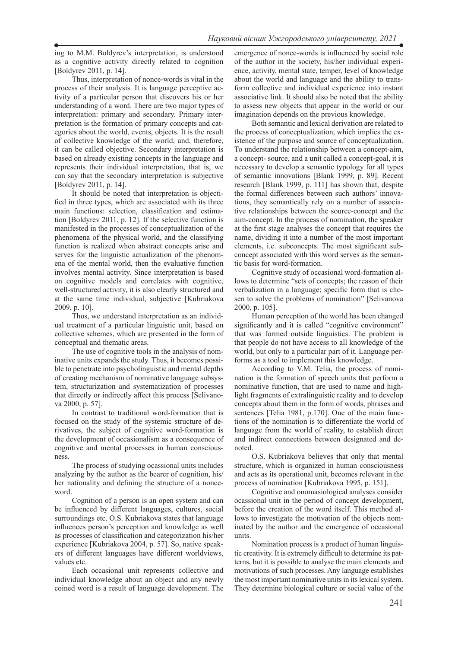ing to M.M. Boldyrev's interpretation, is understood as a cognitive activity directly related to cognition [Boldyrev 2011, p. 14].

Thus, interpretation of nonce-words is vital in the process of their analysis. It is language perceptive activity of a particular person that discovers his or her understanding of a word. There are two major types of interpretation: primary and secondary. Primary interpretation is the formation of primary concepts and categories about the world, events, objects. It is the result of collective knowledge of the world, and, therefore, it can be called objective. Secondary interpretation is based on already existing concepts in the language and represents their individual interpretation, that is, we can say that the secondary interpretation is subjective [Boldyrev 2011, p. 14].

It should be noted that interpretation is objectified in three types, which are associated with its three main functions: selection, classification and estimation [Boldyrev 2011, p. 12]. If the selective function is manifested in the processes of conceptualization of the phenomena of the physical world, and the classifying function is realized when abstract concepts arise and serves for the linguistic actualization of the phenomena of the mental world, then the evaluative function involves mental activity. Since interpretation is based on cognitive models and correlates with cognitive, well-structured activity, it is also clearly structured and at the same time individual, subjective [Kubriakova 2009, p. 10].

Thus, we understand interpretation as an individual treatment of a particular linguistic unit, based on collective schemes, which are presented in the form of conceptual and thematic areas.

The use of cognitive tools in the analysis of nominative units expands the study. Thus, it becomes possible to penetrate into psycholinguistic and mental depths of creating mechanism of nominative language subsystem, structurization and systematization of processes that directly or indirectly affect this process [Selivanova 2000, p. 57].

In contrast to traditional word-formation that is focused on the study of the systemic structure of derivatives, the subject of cognitive word-formation is the development of occasionalism as a consequence of cognitive and mental processes in human consciousness.

The process of studying ocassional units includes analyzing by the author as the bearer of cognition, his/ her nationality and defining the structure of a nonceword.

Cognition of a person is an open system and can be influenced by different languages, cultures, social surroundings etc. O.S. Kubriakova states that language influences person's perception and knowledge as well as processes of classification and categorization his/her experience [Kubriakova 2004, p. 57]. So, native speakers of different languages have different worldviews, values etc.

Each occasional unit represents collective and individual knowledge about an object and any newly coined word is a result of language development. The emergence of nonce-words is influenced by social role of the author in the society, his/her individual experience, activity, mental state, temper, level of knowledge about the world and language and the ability to transform collective and individual experience into instant associative link. It should also be noted that the ability to assess new objects that appear in the world or our imagination depends on the previous knowledge.

Both semantic and lexical derivation are related to the process of conceptualization, which implies the existence of the purpose and source of conceptualization. To understand the relationship between a concept-aim, a concept- source, and a unit called a concept-goal, it is necessary to develop a semantic typology for all types of semantic innovations [Blank 1999, p. 89]. Recent research [Blank 1999, p. 111] has shown that, despite the formal differences between such authors' innovations, they semantically rely on a number of associative relationships between the source-concept and the aim-concept. In the process of nomination, the speaker at the first stage analyses the concept that requires the name, dividing it into a number of the most important elements, i.e. subconcepts. The most significant subconcept associated with this word serves as the semantic basis for word-formation.

Cognitive study of occasional word-formation allows to determine "sets of concepts; the reason of their verbalization in a language; specific form that is chosen to solve the problems of nomination" [Selivanova 2000, p. 105].

Human perception of the world has been changed significantly and it is called "cognitive environment" that was formed outside linguistics. The problem is that people do not have access to all knowledge of the world, but only to a particular part of it. Language performs as a tool to implement this knowledge.

According to V.M. Telia, the process of nomination is the formation of speech units that perform a nominative function, that are used to name and highlight fragments of extralinguistic reality and to develop concepts about them in the form of words, phrases and sentences [Telia 1981, p.170]. One of the main functions of the nomination is to differentiate the world of language from the world of reality, to establish direct and indirect connections between designated and denoted.

O.S. Kubriakova believes that only that mental structure, which is organized in human consciousness and acts as its operational unit, becomes relevant in the process of nomination [Kubriakova 1995, p. 151].

Cognitive and onomasiological analyses consider ocassional unit in the period of concept development, before the creation of the word itself. This method allows to investigate the motivation of the objects nominated by the author and the emergence of occasional units.

Nomination process is a product of human linguistic creativity. It is extremely difficult to determine its patterns, but it is possible to analyse the main elements and motivations of such processes. Any language establishes the most important nominative units in its lexical system. They determine biological culture or social value of the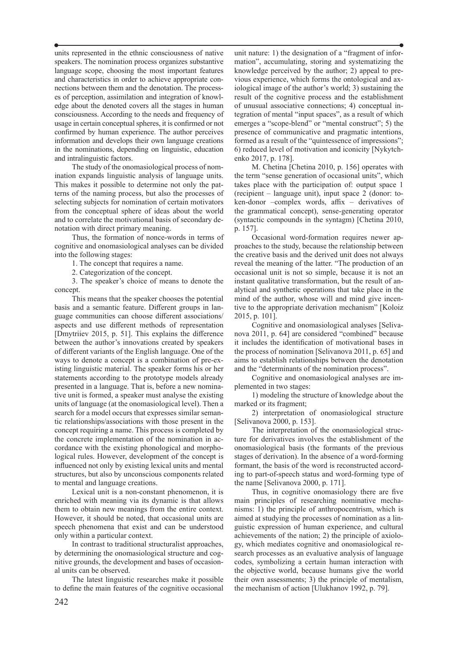units represented in the ethnic consciousness of native speakers. The nomination process organizes substantive language scope, choosing the most important features and characteristics in order to achieve appropriate connections between them and the denotation. The processes of perception, assimilation and integration of knowledge about the denoted covers all the stages in human consciousness. According to the needs and frequency of usage in certain conceptual spheres, it is confirmed or not confirmed by human experience. The author perceives information and develops their own language creations in the nominations, depending on linguistic, education and intralinguistic factors.

The study of the onomasiological process of nomination expands linguistic analysis of language units. This makes it possible to determine not only the patterns of the naming process, but also the processes of selecting subjects for nomination of certain motivators from the conceptual sphere of ideas about the world and to correlate the motivational basis of secondary denotation with direct primary meaning.

Thus, the formation of nonce-words in terms of cognitive and onomasiological analyses can be divided into the following stages:

1. The concept that requires a name.

2. Categorization of the concept.

3. The speaker's choice of means to denote the concept.

This means that the speaker chooses the potential basis and a semantic feature. Different groups in language communities can choose different associations/ aspects and use different methods of representation [Dmytriiev 2015, p. 51]. This explains the difference between the author's innovations created by speakers of different variants of the English language. One of the ways to denote a concept is a combination of pre-existing linguistic material. The speaker forms his or her statements according to the prototype models already presented in a language. That is, before a new nominative unit is formed, a speaker must analyse the existing units of language (at the onomasiological level). Then a search for a model occurs that expresses similar semantic relationships/associations with those present in the concept requiring a name. This process is completed by the concrete implementation of the nomination in accordance with the existing phonological and morphological rules. However, development of the concept is influenced not only by existing lexical units and mental structures, but also by unconscious components related to mental and language creations.

Lexical unit is a non-constant phenomenon, it is enriched with meaning via its dynamic is that allows them to obtain new meanings from the entire context. However, it should be noted, that occasional units are speech phenomena that exist and can be understood only within a particular context.

In contrast to traditional structuralist approaches, by determining the onomasiological structure and cognitive grounds, the development and bases of occasional units can be observed.

The latest linguistic researches make it possible to define the main features of the cognitive occasional unit nature: 1) the designation of a "fragment of information", accumulating, storing and systematizing the knowledge perceived by the author; 2) appeal to previous experience, which forms the ontological and axiological image of the author's world; 3) sustaining the result of the cognitive process and the establishment of unusual associative connections; 4) conceptual integration of mental "input spaces", as a result of which emerges a "scope-blend" or "mental construct"; 5) the presence of communicative and pragmatic intentions, formed as a result of the "quintessence of impressions": 6) reduced level of motivation and iconicity [Nykytchenko 2017, p. 178].

M. Chetina [Chetina 2010, p. 156] operates with the term "sense generation of occasional units", which takes place with the participation of: output space 1 (recipient – language unit), input space 2 (donor: token-donor –complex words, affix – derivatives of the grammatical concept), sense-generating operator (syntactic compounds in the syntagm) [Chetina 2010, p. 157].

Occasional word-formation requires newer approaches to the study, because the relationship between the creative basis and the derived unit does not always reveal the meaning of the latter. "The production of an occasional unit is not so simple, because it is not an instant qualitative transformation, but the result of analytical and synthetic operations that take place in the mind of the author, whose will and mind give incentive to the appropriate derivation mechanism" [Koloiz 2015, p. 101].

Cognitive and onomasiological analyses [Selivanova 2011, p. 64] are considered "combined" because it includes the identification of motivational bases in the process of nomination [Selivanova 2011, p. 65] and aims to establish relationships between the denotation and the "determinants of the nomination process".

Cognitive and onomasiological analyses are implemented in two stages:

1) modeling the structure of knowledge about the marked or its fragment;

2) interpretation of onomasiological structure [Selivanova 2000, p. 153].

The interpretation of the onomasiological structure for derivatives involves the establishment of the onomasiological basis (the formants of the previous stages of derivation). In the absence of a word-forming formant, the basis of the word is reconstructed according to part-of-speech status and word-forming type of the name [Selivanova 2000, p. 171].

Thus, in cognitive onomasiology there are five main principles of researching nominative mechanisms: 1) the principle of anthropocentrism, which is aimed at studying the processes of nomination as a linguistic expression of human experience, and cultural achievements of the nation; 2) the principle of axiology, which mediates cognitive and onomasiological research processes as an evaluative analysis of language codes, symbolizing a certain human interaction with the objective world, because humans give the world their own assessments; 3) the principle of mentalism, the mechanism of action [Ulukhanov 1992, p. 79].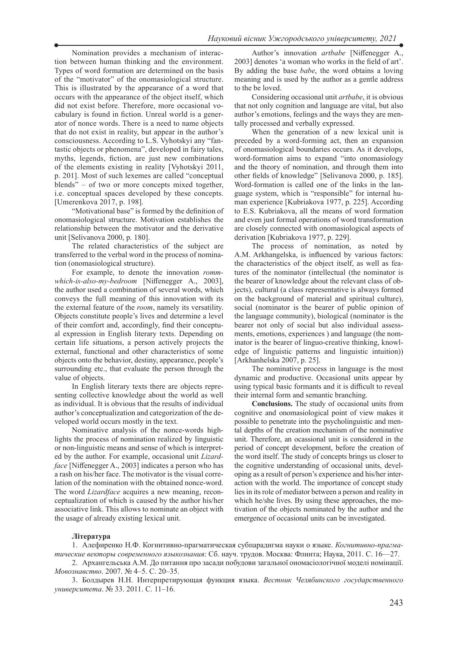Nomination provides a mechanism of interaction between human thinking and the environment. Types of word formation are determined on the basis of the "motivator" of the onomasiological structure. This is illustrated by the appearance of a word that occurs with the appearance of the object itself, which did not exist before. Therefore, more occasional vocabulary is found in fiction. Unreal world is a generator of nonce words. There is a need to name objects that do not exist in reality, but appear in the author's consciousness. According to L.S. Vyhotskyi any "fantastic objects or phenomena", developed in fairy tales, myths, legends, fiction, are just new combinations of the elements existing in reality [Vyhotskyi 2011, p. 201]. Most of such lexemes are called "conceptual blends" – of two or more concepts mixed together, i.e. conceptual spaces developed by these concepts. [Umerenkova 2017, p. 198].

"Motivational base" is formed by the definition of onomasiological structure. Motivation establishes the relationship between the motivator and the derivative unit [Selivanova 2000, p. 180].

The related characteristics of the subject are transferred to the verbal word in the process of nomination (onomasiological structure).

For example, to denote the innovation *rommwhich-is-also-my-bedroom* [Niffenegger A., 2003], the author used a combination of several words, which conveys the full meaning of this innovation with its the external feature of the *room*, namely its versatility. Objects constitute people's lives and determine a level of their comfort and, accordingly, find their conceptual expression in English literary texts. Depending on certain life situations, a person actively projects the external, functional and other characteristics of some objects onto the behavior, destiny, appearance, people's surrounding etc., that evaluate the person through the value of objects.

In English literary texts there are objects representing collective knowledge about the world as well as individual. It is obvious that the results of individual author's conceptualization and categorization of the developed world occurs mostly in the text.

Nominative analysis of the nonce-words highlights the process of nomination realized by linguistic or non-linguistic means and sense of which is interpreted by the author. For example, occasional unit *Lizardface* [Niffenegger A., 2003] indicates a person who has a rash on his/her face. The motivator is the visual correlation of the nomination with the obtained nonce-word. The word *Lizardface* acquires a new meaning, reconceptualization of which is caused by the author his/her associative link. This allows to nominate an object with the usage of already existing lexical unit.

Author's innovation *artbabe* [Niffenegger A., 2003] denotes 'a woman who works in the field of art'. By adding the base *babe*, the word obtains a loving meaning and is used by the author as a gentle address to the be loved.

Considering occasional unit *artbabe*, it is obvious that not only cognition and language are vital, but also author's emotions, feelings and the ways they are mentally processed and verbally expressed.

When the generation of a new lexical unit is preceded by a word-forming act, then an expansion of onomasiological boundaries occurs. As it develops, word-formation aims to expand "into onomasiology and the theory of nomination, and through them into other fields of knowledge" [Selivanova 2000, p. 185]. Word-formation is called one of the links in the language system, which is "responsible" for internal human experience [Kubriakova 1977, p. 225]. According to E.S. Kubriakova, all the means of word formation and even just formal operations of word transformation are closely connected with onomasiological aspects of derivation [Kubriakova 1977, p. 229].

The process of nomination, as noted by A.M. Arkhangelska, is influenced by various factors: the characteristics of the object itself, as well as features of the nominator (intellectual (the nominator is the bearer of knowledge about the relevant class of objects), cultural (a class representative is always formed on the background of material and spiritual culture), social (nominator is the bearer of public opinion of the language community), biological (nominator is the bearer not only of social but also individual assessments, emotions, experiences ) and language (the nominator is the bearer of linguo-creative thinking, knowledge of linguistic patterns and linguistic intuition)) [Arkhanhelska 2007, p. 25].

The nominative process in language is the most dynamic and productive. Occasional units appear by using typical basic formants and it is difficult to reveal their internal form and semantic branching.

**Conclusions.** The study of occasional units from cognitive and onomasiological point of view makes it possible to penetrate into the psycholinguistic and mental depths of the creation mechanism of the nominative unit. Therefore, an ocassional unit is considered in the period of concept development, before the creation of the word itself. The study of concepts brings us closer to the cognitive understanding of occasional units, developing as a result of person's experience and his/her interaction with the world. The importance of concept study lies in its role of mediator between a person and reality in which he/she lives. By using these approaches, the motivation of the objects nominated by the author and the emergence of occasional units can be investigated.

#### **Література**

1. Алефиренко Н.Ф. Когнитивно-прагматическая субпарадигма науки о языке. *Когнитивно-прагматические векторы современного языкознания*: Сб. науч. трудов. Москва: Флинта; Наука, 2011. С. 16—27.

2. Архангельська А.М. До питання про засади побудови загальної ономасіологічної моделі номінації. *Мовознавство*. 2007. № 4–5. С. 20–35.

3. Болдырев Н.Н. Интерпретирующая функция языка. *Вестник Челябинского государственного университета*. № 33. 2011. С. 11–16.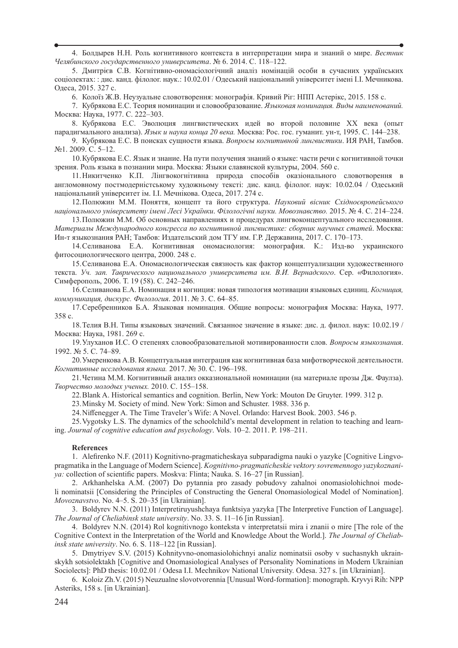4. Болдырев Н.Н. Роль когнитивного контекста в интерпретации мира и знаний о мире. *Вестник Челябинского государственного университета*. № 6. 2014. С. 118–122.

5. Дмитрієв С.В. Когнітивно-ономасіологічний аналіз номінацій особи в сучасних українських соціолектах: : дис. канд. філолог. наук.: 10.02.01 / Одеський національний університет імені І.І. Мечникова. Одеса, 2015. 327 с.

6. Колоїз Ж.В. Неузуальне словотворення: монографія. Кривий Ріг: НПП Астерікс, 2015. 158 с.

7. Кубрякова Е.С. Теория номинации и словообразование. *Языковая номинация. Виды наименований.* Москва: Наука, 1977. С. 222–303.

8. Кубрякова Е.С. Эволюция лингвистических идей во второй половине ХХ века (опыт парадигмального анализа). *Язык и наука конца 20 века.* Москва: Рос. гос. гуманит. ун-т, 1995. С. 144–238.

9. Кубрякова Е.С. В поисках сущности языка. *Вопросы когнитивной лингвистики*. ИЯ РАН, Тамбов. №1. 2009. С. 5–12.

10.Кубрякова Е.С. Язык и знание. На пути получения знаний о языке: части речи с когнитивной точки зрения. Роль языка в познании мира. Москва: Языки славянской культуры, 2004. 560 c.

11.Никитченко К.П. Лінгвокогнітивна природа способів оказіонального словотворення в англомовному постмодерністському художньому тексті: дис. канд. філолог. наук: 10.02.04 / Одеський національний університет ім. І.І. Мечнікова. Одеса, 2017. 274 с.

12.Полюжин М.М. Поняття, концепт та його структура. *Науковий вісник Східноєвропейського національного університету імені Лесі Українки*. *Філологічні науки. Мовознавство.* 2015. № 4. С. 214–224.

13.Полюжин М.М. Об основных направлениях и процедурах лингвоконцептуального исследования. *Материалы Международного конгресса по когнитивной лингвистике: сборник научных статей*. Москва: Ин-т языкознания РАН; Тамбов: Издательский дом ТГУ им. Г.Р. Державина, 2017. С. 170–173.

14.Селиванова Е.А. Когнитивная ономасиология: монография. К.: Изд-во украинского фитосоциологического центра, 2000. 248 с.

15.Селиванова Е.А. Ономасиологическая связность как фактор концептуализации художественного текста. *Уч. зап. Таврического национального университета им. В.И. Вернадского*. Сер. «Филология». Симферополь, 2006. Т. 19 (58). С. 242–246.

16.Селиванова Е.А. Номинация и когниция: новая типология мотивации языковых единиц. *Когниция, коммуникация, дискурс. Филология*. 2011. № 3. С. 64–85.

17.Серебренников Б.А. Языковая номинация. Общие вопросы: монография Москва: Наука, 1977. 358 с.

18.Телия В.Н. Типы языковых значений. Связанное значение в языке: дис. д. филол. наук: 10.02.19 / Москва: Наука, 1981. 269 с.

19.Улуханов И.С. О степенях словообразовательной мотивированности слов. *Вопросы языкознания*. 1992. № 5. С. 74–89.

20.Умеренкова А.В. Концептуальная интеграция как когнитивная база мифотворческой деятельности. *Когнитивные исследования языка.* 2017. № 30. С. 196–198.

21.Четина М.М. Когнитивный анализ окказиональной номинации (на материале прозы Дж. Фаулза). *Творчество молодых ученых.* 2010. C. 155–158.

22.Blank A. Historical semantics and cognition. Berlin, New York: Mouton De Gruyter. 1999. 312 p.

23.Minsky M. Society of mind. New York: Simon and Schuster. 1988. 336 p.

24.Niffenegger A. The Time Traveler's Wife: A Novel. Orlando: Harvest Book. 2003. 546 p.

25.Vygotsky L.S. The dynamics of the schoolchild's mental development in relation to teaching and learning. *Journal of cognitive education and psychology*. Vols. 10–2. 2011. P. 198–211.

#### **References**

1. Alefirenko N.F. (2011) Kognitivno-pragmaticheskaya subparadigma nauki o yazyke [Cognitive Lingvopragmatika in the Language of Modern Science]. *Kognitivno-pragmaticheskie vektory sovremennogo yazykoznaniya:* collection of scientific papers. Moskva: Flinta; Nauka. S. 16–27 [in Russian].

2. Arkhanhelska A.M. (2007) Do pytannia pro zasady pobudovy zahalnoi onomasiolohichnoi modeli nominatsii [Considering the Principles of Constructing the General Onomasiological Model of Nomination]. *Movoznavstvo*. No. 4–5. S. 20–35 [in Ukrainian].

3. Boldyrev N.N. (2011) Interpretiruyushchaya funktsiya yazyka [The Interpretive Function of Language]. *The Journal of Cheliabinsk state university*. No. 33. S. 11–16 [in Russian].

4. Boldyrev N.N. (2014) Rol kognitivnogo konteksta v interpretatsii mira i znanii o mire [The role of the Cognitive Context in the Interpretation of the World and Knowledge About the World.]. *The Journal of Cheliabinsk state university*. No. 6. S. 118–122 [in Russian].

5. Dmytriyev S.V. (2015) Kohnityvno-onomasiolohichnyi analiz nominatsii osoby v suchasnykh ukrainskykh sotsiolektakh [Cognitive and Onomasiological Analyses of Personality Nominations in Modern Ukrainian Sociolects]: PhD thesis: 10.02.01 / Odesa I.I. Mechnikov National University. Odesa. 327 s. [in Ukrainian].

6. Koloiz Zh.V. (2015) Neuzualne slovotvorennia [Unusual Word-formation]: monograph. Kryvyi Rih: NPP Asteriks, 158 s. [in Ukrainian].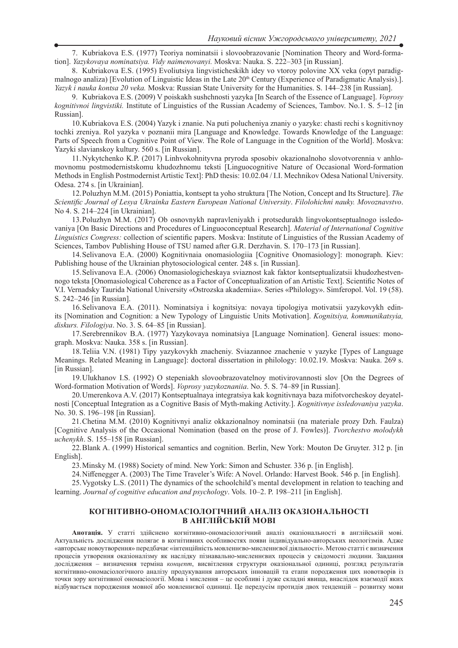7. Kubriakova E.S. (1977) Teoriya nominatsii i slovoobrazovanie [Nomination Theory and Word-formation]. *Yazykovaya nominatsiya. Vidy naimenovanyi.* Moskva: Nauka. S. 222–303 [in Russian].

8. Kubriakova E.S. (1995) Evoliutsiya lingvisticheskikh idey vo vtoroy polovine ХХ veka (opyt paradigmalnogo analiza) [Evolution of Linguistic Ideas in the Late 20<sup>th</sup> Century (Experience of Paradigmatic Analysis).]. *Yazyk i nauka kontsa 20 veka.* Moskva: Russian State University for the Humanities. S. 144–238 [in Russian].

9. Kubriakova E.S. (2009) V poiskakh sushchnosti yazyka [In Search of the Essence of Language]. *Voprosy kognitivnoi lingvistiki.* Institute of Linguistics of the Russian Academy of Sciences, Tambov. No.1. S. 5–12 [in Russian].

10.Kubriakova E.S. (2004) Yazyk i znanie. Na puti polucheniya znaniy o yazyke: chasti rechi s kognitivnoy tochki zreniya. Rol yazyka v poznanii mira [Language and Knowledge. Towards Knowledge of the Language: Parts of Speech from a Cognitive Point of View. The Role of Language in the Cognition of the World]. Moskva: Yazyki slavianskoy kultury. 560 s. [in Russian].

11.Nykytchenko K.P. (2017) Linhvokohnityvna pryroda sposobiv okazionalnoho slovotvorennia v anhlomovnomu postmodernistskomu khudozhnomu teksti [Linguocognitive Nature of Occasional Word-formation Methods in English Postmodernist Artistic Text]: PhD thesis: 10.02.04 / I.I. Mechnikov Odesa National University. Odesa. 274 s. [in Ukrainian].

12.Poluzhyn M.M. (2015) Poniattia, kontsept ta yoho struktura [The Notion, Concept and Its Structure]. *The Scientific Journal of Lesya Ukrainka Eastern European National University*. *Filolohichni nauky. Movoznavstvo*. No 4. S. 214–224 [in Ukrainian].

13.Poluzhyn M.M. (2017) Ob osnovnykh napravleniyakh i protsedurakh lingvokontseptualnogo issledovaniya [On Basic Directions and Procedures of Linguoconceptual Research]. *Material of International Cognitive Linguistics Congress:* collection of scientific papers. Moskva: Institute of Linguistics of the Russian Academy of Sciences, Tambov Publishing House of TSU named after G.R. Derzhavin. S. 170–173 [in Russian].

14.Selivanova E.A. (2000) Kognitivnaia onomasiologiia [Cognitive Onomasiology]: monograph. Kiev: Publishing house of the Ukrainian phytosociological center. 248 s. [in Russian].

15.Selivanova E.A. (2006) Onomasiologicheskaya sviaznost kak faktor kontseptualizatsii khudozhestvennogo teksta [Onomasiological Coherence as a Factor of Conceptualization of an Artistic Text]. Scientific Notes of V.I. Vernadsky Taurida National University «Ostrozska akademiia». Series «Philology». Simferopol. Vol. 19 (58). S. 242–246 [in Russian].

16.Selivanova E.A. (2011). Nominatsiya i kognitsiya: novaya tipologiya motivatsii yazykovykh edinits [Nomination and Cognition: a New Typology of Linguistic Units Motivation]. *Kognitsiya, kommunikatsyia, diskurs. Filologiya*. No. 3. S. 64–85 [in Russian].

17.Serebrennikov B.A. (1977) Yazykovaya nominatsiya [Language Nomination]. General issues: monograph. Moskva: Nauka. 358 s. [in Russian].

18.Teliia V.N. (1981) Tipy yazykovykh znacheniy. Sviazannoe znachenie v yazyke [Types of Language Meanings. Related Meaning in Language]: doctoral dissertation in philology: 10.02.19. Moskva: Nauka. 269 s. [in Russian].

19.Ulukhanov I.S. (1992) O stepeniakh slovoobrazovatelnoy motivirovannosti slov [On the Degrees of Word-formation Motivation of Words]. *Voprosy yazykoznaniia*. No. 5. S. 74–89 [in Russian].

20.Umerenkova A.V. (2017) Kontseptualnaya integratsiya kak kognitivnaya baza mifotvorcheskoy deyatelnosti [Conceptual Integration as a Cognitive Basis of Myth-making Activity.]. *Kognitivnye issledovaniya yazyka*. No. 30. S. 196–198 [in Russian].

21.Chetina M.M. (2010) Kognitivnyi analiz okkazionalnoy nominatsii (na materiale prozy Dzh. Faulza) [Cognitive Analysis of the Occasional Nomination (based on the prose of J. Fowles)]. *Tvorchestvo molodykh uchenykh*. S. 155–158 [in Russian].

22.Blank A. (1999) Historical semantics and cognition. Berlin, New York: Mouton De Gruyter. 312 p. [in English].

23.Minsky M. (1988) Society of mind. New York: Simon and Schuster. 336 p. [in English].

24.Niffenegger A. (2003) The Time Traveler's Wife: A Novel. Orlando: Harvest Book. 546 p. [in English].

25.Vygotsky L.S. (2011) The dynamics of the schoolchild's mental development in relation to teaching and learning. *Journal of cognitive education and psychology*. Vols. 10–2. P. 198–211 [in English].

### **КОГНІТИВНО-ОНОМАСІОЛОГІЧНИЙ АНАЛІЗ ОКАЗІОНАЛЬНОСТІ В АНГЛІЙСЬКІЙ МОВІ**

**Анотація.** У статті здійснено когнітивно-ономасіологічний аналіз оказіональності в англійській мові. Актуальність дослідження полягає в когнітивних особливостях появи індивідуально-авторських неологізмів. Адже «авторське новоутворення» передбачає «інтенційність мовленнєво-мисленнєвої діяльності». Метою статті є визначення процесів утворення оказіоналізму як наслідку пізнавально-мисленнєвих процесів у свідомості людини. Завдання дослідження – визначення терміна *концепт*, висвітлення структури оказіональної одиниці, розгляд результатів когнітивно-ономасіологічного аналізу продукування авторських інновацій та етапи породження цих новотворів із точки зору когнітивної ономасіології. Мова і мислення – це особливі і дуже складні явища, внаслідок взаємодії яких відбувається породження мовної або мовленнєвої одиниці. Це передусім протидія двох тенденцій – розвитку мови